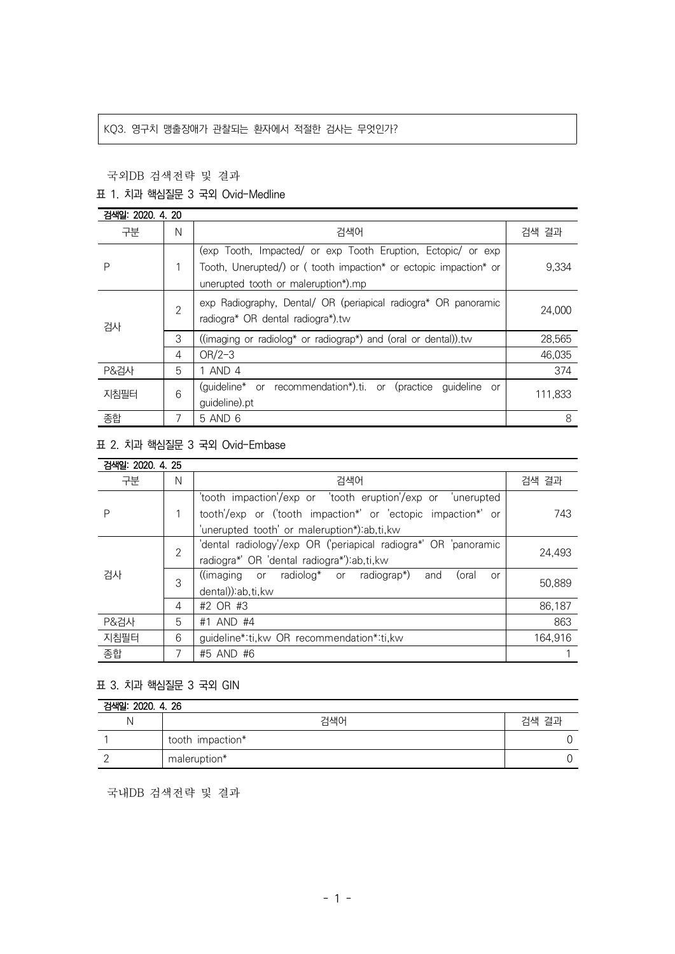### KQ3. 영구치 맹출장애가 관찰되는 환자에서 적절한 검사는 무엇인가?

### 국외DB 검색전략 및 결과

# 표 1. 치과 핵심질문 3 국외 Ovid-Medline

| 검색일: 2020. 4. 20 |                |                                                                                                                                                                         |         |  |
|------------------|----------------|-------------------------------------------------------------------------------------------------------------------------------------------------------------------------|---------|--|
| 구분               | N              | 검색어                                                                                                                                                                     | 검색 결과   |  |
| Ρ                |                | (exp Tooth, Impacted/ or exp Tooth Eruption, Ectopic/ or exp<br>Tooth, Unerupted/) or (tooth impaction* or ectopic impaction* or<br>unerupted tooth or maleruption*).mp | 9,334   |  |
| 검사               | $\overline{2}$ | exp Radiography, Dental/ OR (periapical radiogra* OR panoramic<br>radiogra* OR dental radiogra*).tw                                                                     | 24.000  |  |
|                  | 3              | ((imaging or radiolog* or radiograp*) and (oral or dental)).                                                                                                            | 28,565  |  |
|                  | 4              | $OR/2-3$                                                                                                                                                                | 46.035  |  |
| <b>P&amp;검사</b>  | 5              | 1 AND 4                                                                                                                                                                 | 374     |  |
| 지침필터             | 6              | (guideline* or recommendation*).ti. or (practice<br>quideline<br>or<br>guideline).pt                                                                                    | 111,833 |  |
| 종합               | 7              | 5 AND 6                                                                                                                                                                 | 8       |  |

# 표 2. 치과 핵심질문 3 국외 Ovid-Embase

| 검색일: 2020. 4. 25 |                |                                                                                                                         |         |
|------------------|----------------|-------------------------------------------------------------------------------------------------------------------------|---------|
| 구분               | N              | 검색어                                                                                                                     | 검색 결과   |
| Ρ                |                | 'tooth impaction'/exp or 'tooth eruption'/exp or 'unerupted                                                             | 743     |
|                  |                | tooth'/exp or ('tooth impaction*' or 'ectopic impaction*' or                                                            |         |
|                  |                | 'unerupted tooth' or maleruption*):ab,ti,kw                                                                             |         |
| 검사               | $\overline{2}$ | 'dental radiology'/exp OR ('periapical radiogra*' OR 'panoramic                                                         | 24.493  |
|                  |                | radiogra*' OR 'dental radiogra*'):ab,ti,kw                                                                              |         |
|                  | 3              | $(\text{imaging} \quad \text{or} \quad \text{radiolog*} \quad \text{or} \quad \text{radiograph})$<br>(oral<br>and<br>or | 50.889  |
|                  |                | dental)) ab, ti, kw                                                                                                     |         |
|                  | 4              | #2 OR #3                                                                                                                | 86.187  |
| P&검사             | 5              | #1 AND #4                                                                                                               | 863     |
| 지침필터             | 6              | guideline*:ti, kw OR recommendation*:ti, kw                                                                             | 164,916 |
| 종합               |                | #5 AND #6                                                                                                               |         |

# 표 3. 치과 핵심질문 3 국외 GIN

| 검색일: 2020. 4. 26 |                  |       |  |  |
|------------------|------------------|-------|--|--|
| -N               | 검색어              | 검색 결과 |  |  |
|                  | tooth impaction* |       |  |  |
|                  | maleruption*     |       |  |  |

국내DB 검색전략 및 결과